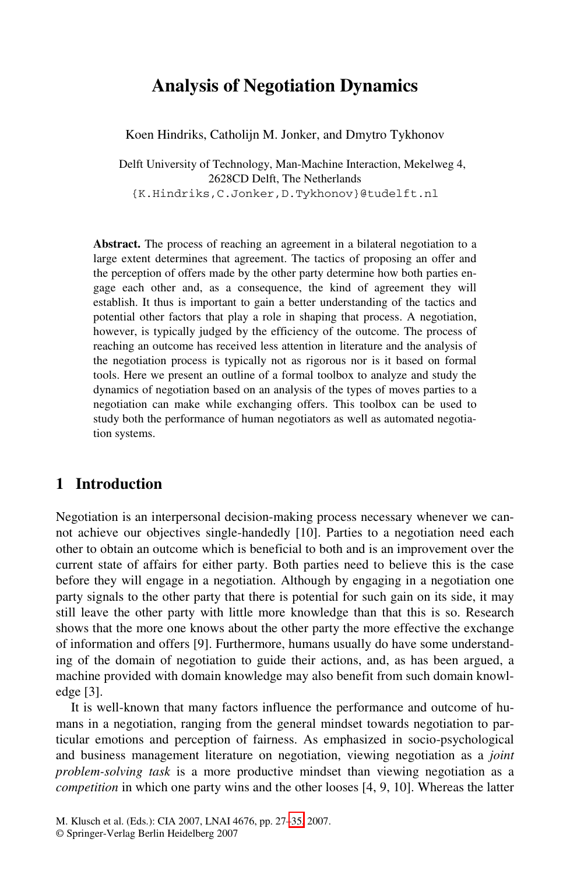# **Analysis of Negotiation Dynamics**

Koen Hindriks, Catholijn M. Jonker, and Dmytro Tykhonov

Delft University of Technology, Man-Machine Interaction, Mekelweg 4, 2628CD Delft, The Netherlands {K.Hindriks,C.Jonker,D.Tykhonov}@tudelft.nl

**Abstract.** The process of reaching an agreement in a bilateral negotiation to a large extent determines that agreement. The tactics of proposing an offer and the perception of offers made by the other party determine how both parties engage each other and, as a consequence, the kind of agreement they will establish. It thus is important to gain a better understanding of the tactics and potential other factors that play a role in shaping that process. A negotiation, however, is typically judged by the efficiency of the outcome. The process of reaching an outcome has received less attention in literature and the analysis of the negotiation process is typically not as rigorous nor is it based on formal tools. Here we present an outline of a formal toolbox to analyze and study the dynamics of negotiation based on an analysis of the types of moves parties to a negotiation can make while exchanging offers. This toolbox can be used to study both the performance of human negotiators as well as automated negotiation systems.

## **1 Introduction**

Negotiation is an interpersonal decision-making process necessary whenever we cannot achieve our objectives single-handedly [10]. Parties to a negotiation need each other to obtain an outcome which is beneficial to both and is an improvement over the current state of affairs for either party. Both parties need to believe this is the case before they will engage in a negotiation. Although by engaging in a negotiation one party signals to the other party that there is potential for such gain on its side, it may still leave the other party with little more knowledge than that this is so. Research shows that the more one knows about the other party the more effective the exchange of information and offers [9]. Furthermore, humans usually do have some understanding of the domain of negotiation to guide their actions, and, as has been argued, a machine provided with domain knowledge may also benefit from such domain knowledge [3].

It is well-known that many factors influence the performance and outcome of humans in a negotiation, ranging from the general mindset towards negotiation to particular emotions and perception of fairness. As emphasized in socio-psychological and business management literature on negotiation, viewing negotiation as a *joint problem-solving task* is a more productive mindset than viewing negotiation as a *competition* in which one party wins and the other looses [4, 9, 10]. Whereas the latter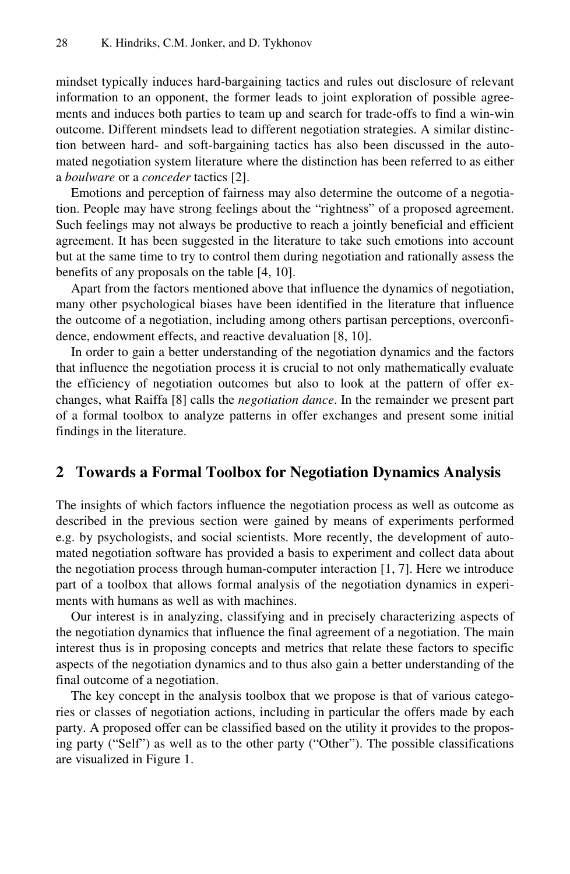mindset typically induces hard-bargaining tactics and rules out disclosure of relevant information to an opponent, the former leads to joint exploration of possible agreements and induces both parties to team up and search for trade-offs to find a win-win outcome. Different mindsets lead to different negotiation strategies. A similar distinction between hard- and soft-bargaining tactics has also been discussed in the automated negotiation system literature where the distinction has been referred to as either a *boulware* or a *conceder* tactics [2].

Emotions and perception of fairness may also determine the outcome of a negotiation. People may have strong feelings about the "rightness" of a proposed agreement. Such feelings may not always be productive to reach a jointly beneficial and efficient agreement. It has been suggested in the literature to take such emotions into account but at the same time to try to control them during negotiation and rationally assess the benefits of any proposals on the table [4, 10].

Apart from the factors mentioned above that influence the dynamics of negotiation, many other psychological biases have been identified in the literature that influence the outcome of a negotiation, including among others partisan perceptions, overconfidence, endowment effects, and reactive devaluation [8, 10].

In order to gain a better understanding of the negotiation dynamics and the factors that influence the negotiation process it is crucial to not only mathematically evaluate the efficiency of negotiation outcomes but also to look at the pattern of offer exchanges, what Raiffa [8] calls the *negotiation dance*. In the remainder we present part of a formal toolbox to analyze patterns in offer exchanges and present some initial findings in the literature.

## **2 Towards a Formal Toolbox for Negotiation Dynamics Analysis**

The insights of which factors influence the negotiation process as well as outcome as described in the previous section were gained by means of experiments performed e.g. by psychologists, and social scientists. More recently, the development of automated negotiation software has provided a basis to experiment and collect data about the negotiation process through human-computer interaction [1, 7]. Here we introduce part of a toolbox that allows formal analysis of the negotiation dynamics in experiments with humans as well as with machines.

Our interest is in analyzing, classifying and in precisely characterizing aspects of the negotiation dynamics that influence the final agreement of a negotiation. The main interest thus is in proposing concepts and metrics that relate these factors to specific aspects of the negotiation dynamics and to thus also gain a better understanding of the final outcome of a negotiation.

The key concept in the analysis toolbox that we propose is that of various categories or classes of negotiation actions, including in particular the offers made by each party. A proposed offer can be classified based on the utility it provides to the proposing party ("Self") as well as to the other party ("Other"). The possible classifications are visualized in Figure 1.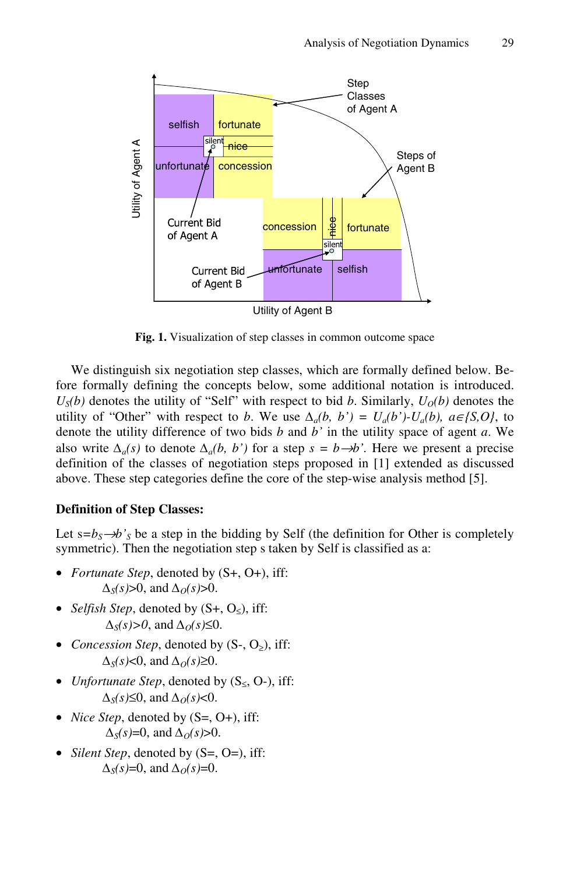

**Fig. 1.** Visualization of step classes in common outcome space

We distinguish six negotiation step classes, which are formally defined below. Before formally defining the concepts below, some additional notation is introduced.  $U<sub>S</sub>(b)$  denotes the utility of "Self" with respect to bid *b*. Similarly,  $U<sub>O</sub>(b)$  denotes the utility of "Other" with respect to *b*. We use  $\Delta_a(b, b') = U_a(b')$ - $U_a(b), a \in \{S, O\}$ , to denote the utility difference of two bids *b* and *b'* in the utility space of agent *a*. We also write  $\Delta_a(s)$  to denote  $\Delta_a(b, b')$  for a step  $s = b \rightarrow b'$ . Here we present a precise definition of the classes of negotiation steps proposed in [1] extended as discussed above. These step categories define the core of the step-wise analysis method [5].

#### **Definition of Step Classes:**

Let  $s = b_S \rightarrow b'_S$  be a step in the bidding by Self (the definition for Other is completely symmetric). Then the negotiation step s taken by Self is classified as a:

- *Fortunate Step*, denoted by (S+, O+), iff: *∆S(s)*>0, and *∆O(s)*>0.
- *Selfish Step*, denoted by  $(S+, O<sub>5</sub>)$ , iff: *∆S(s)>0*, and *∆O(s)*≤0.
- *Concession Step*, denoted by (S-, O≥), iff: *∆S(s)*<0, and *∆O(s)*≥0.
- *Unfortunate Step*, denoted by  $(S_6, O_7)$ , iff: *∆S(s)*≤0, and *∆O(s)*<0.
- *Nice Step*, denoted by  $(S=, O+),$  iff: *∆S(s)*=0, and *∆O(s)*>0.
- *Silent Step*, denoted by  $(S=, O=)$ , iff: *∆S(s)*=0, and *∆O(s)*=0.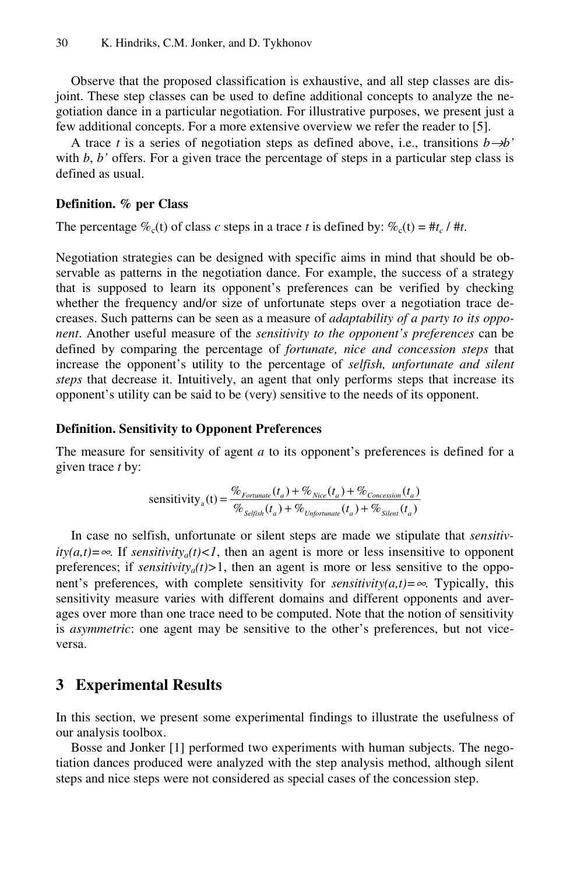Observe that the proposed classification is exhaustive, and all step classes are disjoint. These step classes can be used to define additional concepts to analyze the negotiation dance in a particular negotiation. For illustrative purposes, we present just a few additional concepts. For a more extensive overview we refer the reader to [5].

A trace *t* is a series of negotiation steps as defined above, i.e., transitions  $b \rightarrow b'$ with *b*, *b*' offers. For a given trace the percentage of steps in a particular step class is defined as usual.

#### **Definition. % per Class**

The percentage  $\mathcal{R}_c(t)$  of class *c* steps in a trace *t* is defined by:  $\mathcal{R}_c(t) = #t_c$  / #*t*.

Negotiation strategies can be designed with specific aims in mind that should be observable as patterns in the negotiation dance. For example, the success of a strategy that is supposed to learn its opponent's preferences can be verified by checking whether the frequency and/or size of unfortunate steps over a negotiation trace decreases. Such patterns can be seen as a measure of *adaptability of a party to its opponent*. Another useful measure of the *sensitivity to the opponent's preferences* can be defined by comparing the percentage of *fortunate, nice and concession steps* that increase the opponent's utility to the percentage of *selfish, unfortunate and silent steps* that decrease it. Intuitively, an agent that only performs steps that increase its opponent's utility can be said to be (very) sensitive to the needs of its opponent.

#### **Definition. Sensitivity to Opponent Preferences**

The measure for sensitivity of agent *a* to its opponent's preferences is defined for a given trace *t* by:

$$
sensitivity_a(t) = \frac{\%_{Fortimate}(t_a) + \%_{Nice}(t_a) + \%_{Concession}(t_a)}{\%_{Selfish}(t_a) + \%_{Unformation}(t_a) + \%_{Silen}(t_a)}
$$

In case no selfish, unfortunate or silent steps are made we stipulate that *sensitiv* $ity(a,t) = \infty$ . If *sensitivity<sub>a</sub>*(*t*)<*l*, then an agent is more or less insensitive to opponent preferences; if *sensitivity<sub>a</sub>* $(t)$ >1, then an agent is more or less sensitive to the opponent's preferences, with complete sensitivity for *sensitivity(a,t)*=∞. Typically, this sensitivity measure varies with different domains and different opponents and averages over more than one trace need to be computed. Note that the notion of sensitivity is *asymmetric*: one agent may be sensitive to the other's preferences, but not viceversa.

## **3 Experimental Results**

In this section, we present some experimental findings to illustrate the usefulness of our analysis toolbox.

Bosse and Jonker [1] performed two experiments with human subjects. The negotiation dances produced were analyzed with the step analysis method, although silent steps and nice steps were not considered as special cases of the concession step.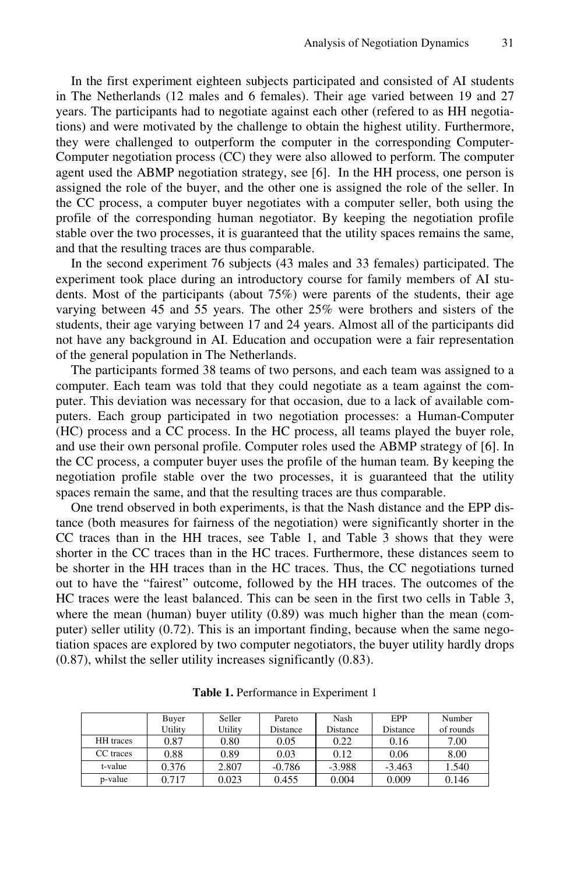In the first experiment eighteen subjects participated and consisted of AI students in The Netherlands (12 males and 6 females). Their age varied between 19 and 27 years. The participants had to negotiate against each other (refered to as HH negotiations) and were motivated by the challenge to obtain the highest utility. Furthermore, they were challenged to outperform the computer in the corresponding Computer-Computer negotiation process (CC) they were also allowed to perform. The computer agent used the ABMP negotiation strategy, see [6]. In the HH process, one person is assigned the role of the buyer, and the other one is assigned the role of the seller. In the CC process, a computer buyer negotiates with a computer seller, both using the profile of the corresponding human negotiator. By keeping the negotiation profile stable over the two processes, it is guaranteed that the utility spaces remains the same, and that the resulting traces are thus comparable.

In the second experiment 76 subjects (43 males and 33 females) participated. The experiment took place during an introductory course for family members of AI students. Most of the participants (about 75%) were parents of the students, their age varying between 45 and 55 years. The other 25% were brothers and sisters of the students, their age varying between 17 and 24 years. Almost all of the participants did not have any background in AI. Education and occupation were a fair representation of the general population in The Netherlands.

The participants formed 38 teams of two persons, and each team was assigned to a computer. Each team was told that they could negotiate as a team against the computer. This deviation was necessary for that occasion, due to a lack of available computers. Each group participated in two negotiation processes: a Human-Computer (HC) process and a CC process. In the HC process, all teams played the buyer role, and use their own personal profile. Computer roles used the ABMP strategy of [6]. In the CC process, a computer buyer uses the profile of the human team. By keeping the negotiation profile stable over the two processes, it is guaranteed that the utility spaces remain the same, and that the resulting traces are thus comparable.

One trend observed in both experiments, is that the Nash distance and the EPP distance (both measures for fairness of the negotiation) were significantly shorter in the CC traces than in the HH traces, see Table 1, and Table 3 shows that they were shorter in the CC traces than in the HC traces. Furthermore, these distances seem to be shorter in the HH traces than in the HC traces. Thus, the CC negotiations turned out to have the "fairest" outcome, followed by the HH traces. The outcomes of the HC traces were the least balanced. This can be seen in the first two cells in Table 3, where the mean (human) buyer utility  $(0.89)$  was much higher than the mean (computer) seller utility (0.72). This is an important finding, because when the same negotiation spaces are explored by two computer negotiators, the buyer utility hardly drops (0.87), whilst the seller utility increases significantly (0.83).

|           | Buver<br>Utility | Seller<br>Utility | Pareto<br>Distance | Nash<br>Distance | EPP<br>Distance | Number<br>of rounds |
|-----------|------------------|-------------------|--------------------|------------------|-----------------|---------------------|
| HH traces | 0.87             | 0.80              | 0.05               | 0.22             | 0.16            | 7.00                |
| CC traces | 0.88             | 0.89              | 0.03               | 0.12             | 0.06            | 8.00                |
| t-value   | 0.376            | 2.807             | $-0.786$           | $-3.988$         | $-3.463$        | 1.540               |
| p-value   | 0.717            | 0.023             | 0.455              | 0.004            | 0.009           | 0.146               |

**Table 1.** Performance in Experiment 1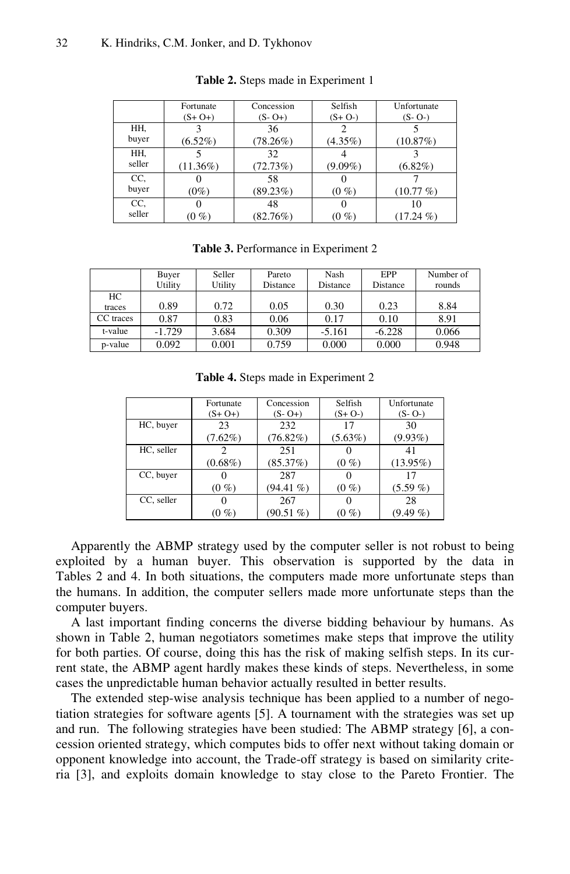|               | Fortunate<br>$(S + O +)$ | Concession<br>$(S - O + )$ | Selfish<br>$(S + O-)$ | Unfortunate<br>$(S - O-)$ |
|---------------|--------------------------|----------------------------|-----------------------|---------------------------|
| HH.<br>buyer  | $(6.52\%)$               | 36<br>$(78.26\%)$          | $(4.35\%)$            | (10.87%)                  |
| HH.<br>seller | $(11.36\%)$              | 32<br>(72.73%)             | $(9.09\%)$            | $(6.82\%)$                |
| CC.<br>buyer  | $(0\%)$                  | 58<br>(89.23%)             | (0, % )               | $(10.77\%)$               |
| CC.<br>seller | $(0,  \% )$              | 48<br>$(82.76\%)$          | (0, % )               | 10<br>$(17.24\% )$        |

#### **Table 2.** Steps made in Experiment 1

**Table 3.** Performance in Experiment 2

|           | Buyer    | Seller  | Pareto   | Nash     | EPP      | Number of |
|-----------|----------|---------|----------|----------|----------|-----------|
|           | Utility  | Utility | Distance | Distance | Distance | rounds    |
| HС        |          |         |          |          |          |           |
| traces    | 0.89     | 0.72    | 0.05     | 0.30     | 0.23     | 8.84      |
| CC traces | 0.87     | 0.83    | 0.06     | 0.17     | 0.10     | 8.91      |
| t-value   | $-1.729$ | 3.684   | 0.309    | $-5.161$ | $-6.228$ | 0.066     |
| p-value   | 0.092    | 0.001   | 0.759    | 0.000    | 0.000    | 0.948     |

**Table 4.** Steps made in Experiment 2

|            | Fortunate   | Concession   | Selfish    | Unfortunate |
|------------|-------------|--------------|------------|-------------|
|            | $(S + O +)$ | $(S - O + )$ | $(S + O-)$ | $(S - O-)$  |
| HC, buyer  | 23          | 232          | 17         | 30          |
|            | $(7.62\%)$  | $(76.82\%)$  | $(5.63\%)$ | $(9.93\%)$  |
| HC, seller |             | 251          |            |             |
|            | $(0.68\%)$  | (85.37%)     | (0, %)     | $(13.95\%)$ |
| CC, buyer  |             | 287          |            |             |
|            | (0, % )     | $(94.41\% )$ | (0, %)     | $(5.59\% )$ |
| CC, seller |             | 267          |            | 28          |
|            | $(0,  \%)$  | $(90.51\%)$  | (0, %)     | $(9.49\% )$ |

Apparently the ABMP strategy used by the computer seller is not robust to being exploited by a human buyer. This observation is supported by the data in Tables 2 and 4. In both situations, the computers made more unfortunate steps than the humans. In addition, the computer sellers made more unfortunate steps than the computer buyers.

A last important finding concerns the diverse bidding behaviour by humans. As shown in Table 2, human negotiators sometimes make steps that improve the utility for both parties. Of course, doing this has the risk of making selfish steps. In its current state, the ABMP agent hardly makes these kinds of steps. Nevertheless, in some cases the unpredictable human behavior actually resulted in better results.

The extended step-wise analysis technique has been applied to a number of negotiation strategies for software agents [5]. A tournament with the strategies was set up and run. The following strategies have been studied: The ABMP strategy [6], a concession oriented strategy, which computes bids to offer next without taking domain or opponent knowledge into account, the Trade-off strategy is based on similarity criteria [3], and exploits domain knowledge to stay close to the Pareto Frontier. The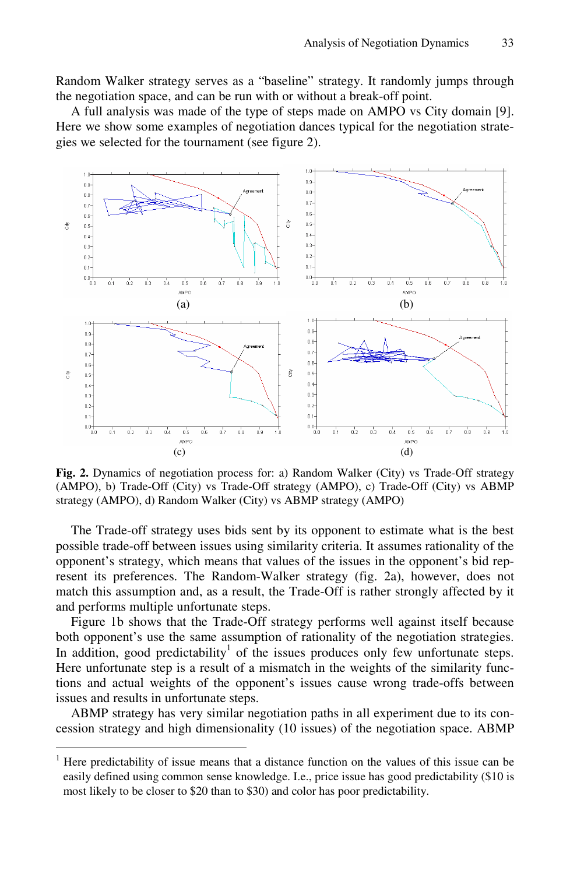Random Walker strategy serves as a "baseline" strategy. It randomly jumps through the negotiation space, and can be run with or without a break-off point.

A full analysis was made of the type of steps made on AMPO vs City domain [9]. Here we show some examples of negotiation dances typical for the negotiation strategies we selected for the tournament (see figure 2).



**Fig. 2.** Dynamics of negotiation process for: a) Random Walker (City) vs Trade-Off strategy (AMPO), b) Trade-Off (City) vs Trade-Off strategy (AMPO), c) Trade-Off (City) vs ABMP strategy (AMPO), d) Random Walker (City) vs ABMP strategy (AMPO)

The Trade-off strategy uses bids sent by its opponent to estimate what is the best possible trade-off between issues using similarity criteria. It assumes rationality of the opponent's strategy, which means that values of the issues in the opponent's bid represent its preferences. The Random-Walker strategy (fig. 2a), however, does not match this assumption and, as a result, the Trade-Off is rather strongly affected by it and performs multiple unfortunate steps.

Figure 1b shows that the Trade-Off strategy performs well against itself because both opponent's use the same assumption of rationality of the negotiation strategies. In addition, good predictability<sup>1</sup> of the issues produces only few unfortunate steps. Here unfortunate step is a result of a mismatch in the weights of the similarity functions and actual weights of the opponent's issues cause wrong trade-offs between issues and results in unfortunate steps.

ABMP strategy has very similar negotiation paths in all experiment due to its concession strategy and high dimensionality (10 issues) of the negotiation space. ABMP

j

<sup>1</sup> Here predictability of issue means that a distance function on the values of this issue can be easily defined using common sense knowledge. I.e., price issue has good predictability (\$10 is most likely to be closer to \$20 than to \$30) and color has poor predictability.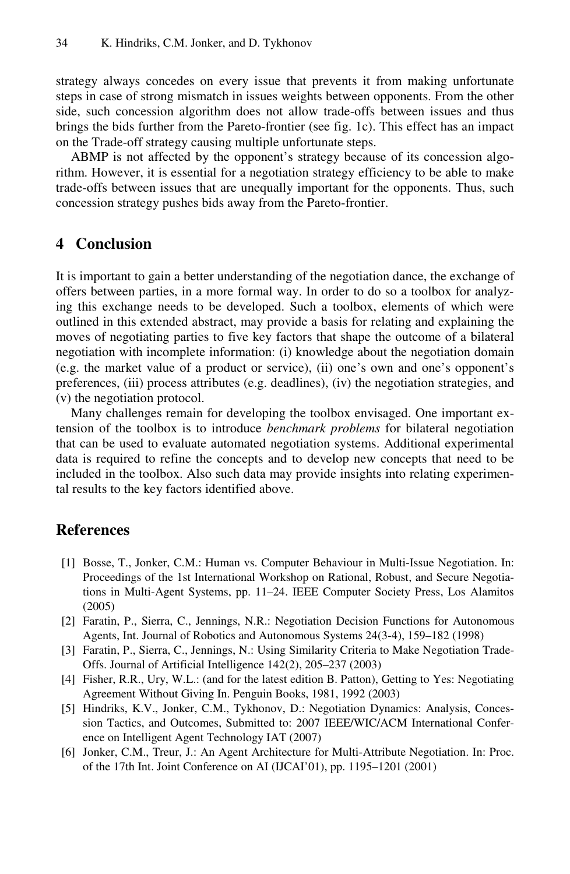strategy always concedes on every issue that prevents it from making unfortunate steps in case of strong mismatch in issues weights between opponents. From the other side, such concession algorithm does not allow trade-offs between issues and thus brings the bids further from the Pareto-frontier (see fig. 1c). This effect has an impact on the Trade-off strategy causing multiple unfortunate steps.

ABMP is not affected by the opponent's strategy because of its concession algorithm. However, it is essential for a negotiation strategy efficiency to be able to make trade-offs between issues that are unequally important for the opponents. Thus, such concession strategy pushes bids away from the Pareto-frontier.

## **4 Conclusion**

It is important to gain a better understanding of the negotiation dance, the exchange of offers between parties, in a more formal way. In order to do so a toolbox for analyzing this exchange needs to be developed. Such a toolbox, elements of which were outlined in this extended abstract, may provide a basis for relating and explaining the moves of negotiating parties to five key factors that shape the outcome of a bilateral negotiation with incomplete information: (i) knowledge about the negotiation domain (e.g. the market value of a product or service), (ii) one's own and one's opponent's preferences, (iii) process attributes (e.g. deadlines), (iv) the negotiation strategies, and (v) the negotiation protocol.

Many challenges remain for developing the toolbox envisaged. One important extension of the toolbox is to introduce *benchmark problems* for bilateral negotiation that can be used to evaluate automated negotiation systems. Additional experimental data is required to refine the concepts and to develop new concepts that need to be included in the toolbox. Also such data may provide insights into relating experimental results to the key factors identified above.

## **References**

- [1] Bosse, T., Jonker, C.M.: Human vs. Computer Behaviour in Multi-Issue Negotiation. In: Proceedings of the 1st International Workshop on Rational, Robust, and Secure Negotiations in Multi-Agent Systems, pp. 11–24. IEEE Computer Society Press, Los Alamitos (2005)
- [2] Faratin, P., Sierra, C., Jennings, N.R.: Negotiation Decision Functions for Autonomous Agents, Int. Journal of Robotics and Autonomous Systems 24(3-4), 159–182 (1998)
- [3] Faratin, P., Sierra, C., Jennings, N.: Using Similarity Criteria to Make Negotiation Trade-Offs. Journal of Artificial Intelligence 142(2), 205–237 (2003)
- [4] Fisher, R.R., Ury, W.L.: (and for the latest edition B. Patton), Getting to Yes: Negotiating Agreement Without Giving In. Penguin Books, 1981, 1992 (2003)
- [5] Hindriks, K.V., Jonker, C.M., Tykhonov, D.: Negotiation Dynamics: Analysis, Concession Tactics, and Outcomes, Submitted to: 2007 IEEE/WIC/ACM International Conference on Intelligent Agent Technology IAT (2007)
- [6] Jonker, C.M., Treur, J.: An Agent Architecture for Multi-Attribute Negotiation. In: Proc. of the 17th Int. Joint Conference on AI (IJCAI'01), pp. 1195–1201 (2001)